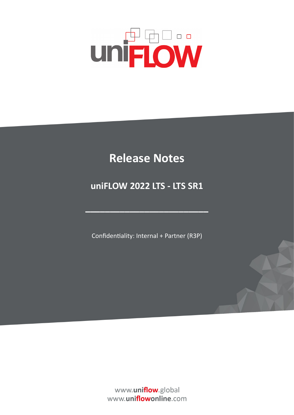# **UNFLOW**

## **Release Notes**

### **uniFLOW 2022 LTS - LTS SR1**

Confidentiality: Internal + Partner (R3P)

**–––––––––––––––––––––––––**

www.uniflow.global www.uniflowonline.com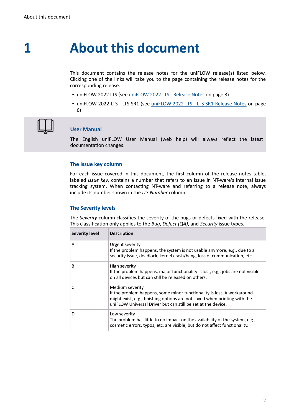**1**

## **About this document**

This document contains the release notes for the uniFLOW release(s) listed below. Clicking one of the links will take you to the page containing the release notes for the corresponding release.

- uniFLOW 2022 LTS (see [uniFLOW 2022 LTS Release Notes](#page-2-0) on page 3)
- **· uniFLOW 2022 LTS LTS SR1 (see** *[uniFLOW 2022 LTS LTS SR1 Release Notes](#page-5-0)* **on page** 6)



#### **User Manual**

The English uniFLOW User Manual (web help) will always reflect the latest documentation changes.

#### **The Issue key column**

For each issue covered in this document, the first column of the release notes table, labeled *Issue key*, contains a number that refers to an issue in NT-ware's internal issue tracking system. When contacting NT-ware and referring to a release note, always include its number shown in the *ITS Number* column.

#### **The Severity levels**

The *Severity* column classifies the severity of the bugs or defects fixed with the release. This classification only applies to the *Bug*, *Defect (QA)*, and *Security* issue types.

| <b>Severity level</b> | <b>Description</b>                                                                                                                                                                                                                     |
|-----------------------|----------------------------------------------------------------------------------------------------------------------------------------------------------------------------------------------------------------------------------------|
| A                     | Urgent severity<br>If the problem happens, the system is not usable anymore, e.g., due to a<br>security issue, deadlock, kernel crash/hang, loss of communication, etc.                                                                |
| B.                    | High severity<br>If the problem happens, major functionality is lost, e.g., jobs are not visible<br>on all devices but can still be released on others.                                                                                |
| $\mathsf{C}$          | Medium severity<br>If the problem happens, some minor functionality is lost. A workaround<br>might exist, e.g., finishing options are not saved when printing with the<br>uniFLOW Universal Driver but can still be set at the device. |
| D                     | Low severity<br>The problem has little to no impact on the availability of the system, e.g.,<br>cosmetic errors, typos, etc. are visible, but do not affect functionality.                                                             |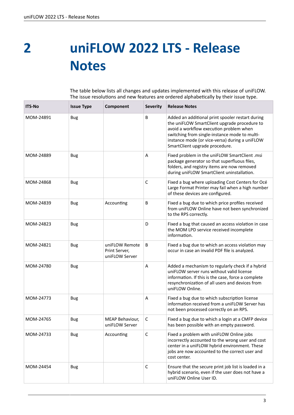<span id="page-2-0"></span>**2**

## **uniFLOW 2022 LTS - Release Notes**

The table below lists all changes and updates implemented with this release of uniFLOW. The issue resolutions and new features are ordered alphabetically by their issue type.

| <b>ITS-No</b> | <b>Issue Type</b> | Component                                         | <b>Severity</b> | <b>Release Notes</b>                                                                                                                                                                                                                                                             |
|---------------|-------------------|---------------------------------------------------|-----------------|----------------------------------------------------------------------------------------------------------------------------------------------------------------------------------------------------------------------------------------------------------------------------------|
| MOM-24891     | <b>Bug</b>        |                                                   | B               | Added an additional print spooler restart during<br>the uniFLOW SmartClient upgrade procedure to<br>avoid a workflow execution problem when<br>switching from single-instance mode to multi-<br>instance mode (or vice-versa) during a uniFLOW<br>SmartClient upgrade procedure. |
| MOM-24889     | <b>Bug</b>        |                                                   | Α               | Fixed problem in the uniFLOW SmartClient .msi<br>package generator so that superfluous files,<br>folders, and registry items are now removed<br>during uniFLOW SmartClient uninstallation.                                                                                       |
| MOM-24868     | <b>Bug</b>        |                                                   | C               | Fixed a bug where uploading Cost Centers for Océ<br>Large Format Printer may fail when a high number<br>of these devices are configured.                                                                                                                                         |
| MOM-24839     | <b>Bug</b>        | Accounting                                        | B               | Fixed a bug due to which price profiles received<br>from uniFLOW Online have not been synchronized<br>to the RPS correctly.                                                                                                                                                      |
| MOM-24823     | <b>Bug</b>        |                                                   | D               | Fixed a bug that caused an access violation in case<br>the MOM LPD service received incomplete<br>information.                                                                                                                                                                   |
| MOM-24821     | <b>Bug</b>        | uniFLOW Remote<br>Print Server,<br>uniFLOW Server | B               | Fixed a bug due to which an access violation may<br>occur in case an invalid PDF file is analyzed.                                                                                                                                                                               |
| MOM-24780     | Bug               |                                                   | A               | Added a mechanism to regularly check if a hybrid<br>uniFLOW server runs without valid license<br>information. If this is the case, force a complete<br>resynchronization of all users and devices from<br>uniFLOW Online.                                                        |
| MOM-24773     | <b>Bug</b>        |                                                   | Α               | Fixed a bug due to which subscription license<br>information received from a uniFLOW Server has<br>not been processed correctly on an RPS.                                                                                                                                       |
| MOM-24765     | <b>Bug</b>        | MEAP Behaviour,<br>uniFLOW Server                 | С               | Fixed a bug due to which a login at a CMFP device<br>has been possible with an empty password.                                                                                                                                                                                   |
| MOM-24733     | <b>Bug</b>        | Accounting                                        | C               | Fixed a problem with uniFLOW Online jobs<br>incorrectly accounted to the wrong user and cost<br>center in a uniFLOW hybrid environment. These<br>jobs are now accounted to the correct user and<br>cost center.                                                                  |
| MOM-24454     | <b>Bug</b>        |                                                   | $\mathsf{C}$    | Ensure that the secure print job list is loaded in a<br>hybrid scenario, even if the user does not have a<br>uniFLOW Online User ID.                                                                                                                                             |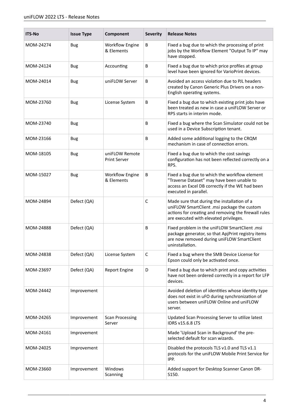| <b>ITS-No</b> | <b>Issue Type</b> | Component                             | <b>Severity</b> | <b>Release Notes</b>                                                                                                                                                                         |
|---------------|-------------------|---------------------------------------|-----------------|----------------------------------------------------------------------------------------------------------------------------------------------------------------------------------------------|
| MOM-24274     | <b>Bug</b>        | <b>Workflow Engine</b><br>& Elements  | B               | Fixed a bug due to which the processing of print<br>jobs by the Workflow Element "Output To IP" may<br>have stopped.                                                                         |
| MOM-24124     | <b>Bug</b>        | Accounting                            | B               | Fixed a bug due to which price profiles at group<br>level have been ignored for VarioPrint devices.                                                                                          |
| MOM-24014     | <b>Bug</b>        | uniFLOW Server                        | B               | Avoided an access violation due to PJL headers<br>created by Canon Generic Plus Drivers on a non-<br>English operating systems.                                                              |
| MOM-23760     | <b>Bug</b>        | License System                        | B               | Fixed a bug due to which existing print jobs have<br>been treated as new in case a uniFLOW Server or<br>RPS starts in interim mode.                                                          |
| MOM-23740     | <b>Bug</b>        |                                       | B               | Fixed a bug where the Scan Simulator could not be<br>used in a Device Subscription tenant.                                                                                                   |
| MOM-23166     | <b>Bug</b>        |                                       | B               | Added some additional logging to the CRQM<br>mechanism in case of connection errors.                                                                                                         |
| MOM-18105     | Bug               | uniFLOW Remote<br><b>Print Server</b> |                 | Fixed a bug due to which the cost savings<br>configuration has not been reflected correctly on a<br>RPS.                                                                                     |
| MOM-15027     | Bug               | <b>Workflow Engine</b><br>& Elements  | B               | Fixed a bug due to which the workflow element<br>"Traverse Dataset" may have been unable to<br>access an Excel DB correctly if the WE had been<br>executed in parallel.                      |
| MOM-24894     | Defect (QA)       |                                       | $\mathsf{C}$    | Made sure that during the installation of a<br>uniFLOW SmartClient .msi package the custom<br>actions for creating and removing the firewall rules<br>are executed with elevated privileges. |
| MOM-24888     | Defect (QA)       |                                       | B               | Fixed problem in the uniFLOW SmartClient .msi<br>package generator, so that ApjPrint registry items<br>are now removed during uniFLOW SmartClient<br>uninstallation.                         |
| MOM-24838     | Defect (QA)       | License System                        | C               | Fixed a bug where the SMB Device License for<br>Epson could only be activated once.                                                                                                          |
| MOM-23697     | Defect (QA)       | <b>Report Engine</b>                  | D               | Fixed a bug due to which print and copy activities<br>have not been ordered correctly in a report for LFP<br>devices.                                                                        |
| MOM-24442     | Improvement       |                                       |                 | Avoided deletion of identities whose identity type<br>does not exist in uFO during synchronization of<br>users between uniFLOW Online and uniFLOW<br>server.                                 |
| MOM-24265     | Improvement       | <b>Scan Processing</b><br>Server      |                 | Updated Scan Processing Server to utilize latest<br><b>IDRS v15.6.8 LTS</b>                                                                                                                  |
| MOM-24161     | Improvement       |                                       |                 | Made 'Upload Scan in Background' the pre-<br>selected default for scan wizards.                                                                                                              |
| MOM-24025     | Improvement       |                                       |                 | Disabled the protocols TLS v1.0 and TLS v1.1<br>protocols for the uniFLOW Mobile Print Service for<br>IPP.                                                                                   |
| MOM-23660     | Improvement       | Windows<br>Scanning                   |                 | Added support for Desktop Scanner Canon DR-<br>S150.                                                                                                                                         |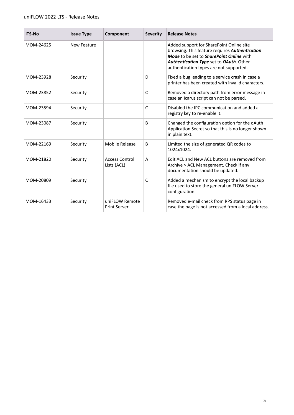| <b>ITS-No</b> | <b>Issue Type</b>  | Component                             | <b>Severity</b> | <b>Release Notes</b>                                                                                                                                                                                                         |
|---------------|--------------------|---------------------------------------|-----------------|------------------------------------------------------------------------------------------------------------------------------------------------------------------------------------------------------------------------------|
| MOM-24625     | <b>New Feature</b> |                                       |                 | Added support for SharePoint Online site<br>browsing. This feature requires Authentication<br>Mode to be set to SharePoint Online with<br>Authentication Type set to OAuth. Other<br>authentication types are not supported. |
| MOM-23928     | Security           |                                       | D               | Fixed a bug leading to a service crash in case a<br>printer has been created with invalid characters.                                                                                                                        |
| MOM-23852     | Security           |                                       | C               | Removed a directory path from error message in<br>case an Icarus script can not be parsed.                                                                                                                                   |
| MOM-23594     | Security           |                                       | $\mathsf{C}$    | Disabled the IPC communication and added a<br>registry key to re-enable it.                                                                                                                                                  |
| MOM-23087     | Security           |                                       | B               | Changed the configuration option for the oAuth<br>Application Secret so that this is no longer shown<br>in plain text.                                                                                                       |
| MOM-22169     | Security           | Mobile Release                        | B               | Limited the size of generated QR codes to<br>1024x1024.                                                                                                                                                                      |
| MOM-21820     | Security           | <b>Access Control</b><br>Lists (ACL)  | A               | Edit ACL and New ACL buttons are removed from<br>Archive > ACL Management. Check if any<br>documentation should be updated.                                                                                                  |
| MOM-20809     | Security           |                                       | $\mathsf{C}$    | Added a mechanism to encrypt the local backup<br>file used to store the general uniFLOW Server<br>configuration.                                                                                                             |
| MOM-16433     | Security           | uniFLOW Remote<br><b>Print Server</b> |                 | Removed e-mail check from RPS status page in<br>case the page is not accessed from a local address.                                                                                                                          |